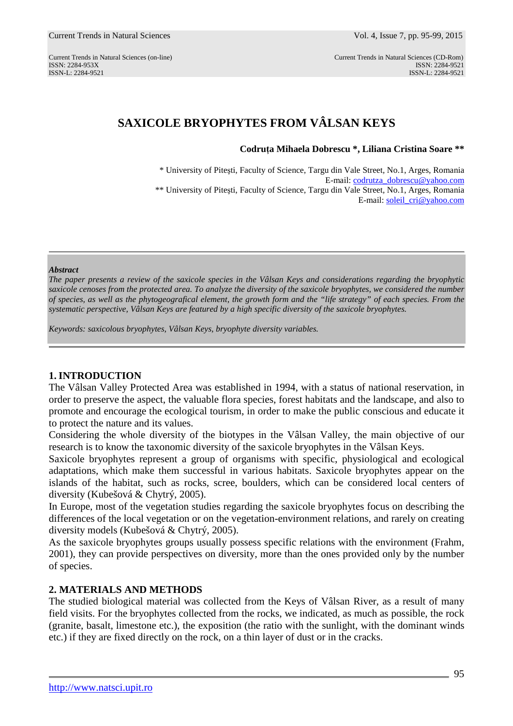ISSN: 2284-953XISSN: 2284-9521 ISSN-L: 2284-9521 ISSN-L: 2284-9521

# **SAXICOLE BRYOPHYTES FROM VÂLSAN KEYS**

**Codruţa Mihaela Dobrescu \*, Liliana Cristina Soare \*\*** 

\* University of Piteşti, Faculty of Science, Targu din Vale Street*,* No.1, Arges, Romania E-mail: codrutza\_dobrescu@yahoo.com \*\* University of Piteşti, Faculty of Science, Targu din Vale Street*,* No.1, Arges, Romania E-mail: soleil\_cri@yahoo.com

#### *Abstract*

*The paper presents a review of the saxicole species in the Vâlsan Keys and considerations regarding the bryophytic saxicole cenoses from the protected area. To analyze the diversity of the saxicole bryophytes, we considered the number of species, as well as the phytogeografical element, the growth form and the "life strategy" of each species. From the systematic perspective, Vâlsan Keys are featured by a high specific diversity of the saxicole bryophytes.* 

*Keywords: saxicolous bryophytes, Vâlsan Keys, bryophyte diversity variables.* 

### **1. INTRODUCTION**

The Vâlsan Valley Protected Area was established in 1994, with a status of national reservation, in order to preserve the aspect, the valuable flora species, forest habitats and the landscape, and also to promote and encourage the ecological tourism, in order to make the public conscious and educate it to protect the nature and its values.

Considering the whole diversity of the biotypes in the Vâlsan Valley, the main objective of our research is to know the taxonomic diversity of the saxicole bryophytes in the Vâlsan Keys.

Saxicole bryophytes represent a group of organisms with specific, physiological and ecological adaptations, which make them successful in various habitats. Saxicole bryophytes appear on the islands of the habitat, such as rocks, scree, boulders, which can be considered local centers of diversity (Kubešová & Chytrý, 2005).

In Europe, most of the vegetation studies regarding the saxicole bryophytes focus on describing the differences of the local vegetation or on the vegetation-environment relations, and rarely on creating diversity models (Kubešová & Chytrý, 2005).

As the saxicole bryophytes groups usually possess specific relations with the environment (Frahm, 2001), they can provide perspectives on diversity, more than the ones provided only by the number of species.

# **2. MATERIALS AND METHODS**

The studied biological material was collected from the Keys of Vâlsan River, as a result of many field visits. For the bryophytes collected from the rocks, we indicated, as much as possible, the rock (granite, basalt, limestone etc.), the exposition (the ratio with the sunlight, with the dominant winds etc.) if they are fixed directly on the rock, on a thin layer of dust or in the cracks.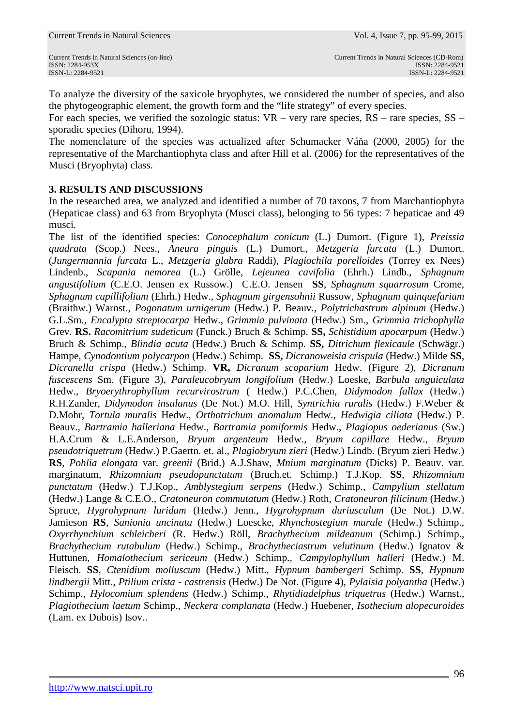To analyze the diversity of the saxicole bryophytes, we considered the number of species, and also the phytogeographic element, the growth form and the "life strategy" of every species.

For each species, we verified the sozologic status:  $VR - \text{very rare species}, RS - \text{rare species}, SS - \text{arc species}, SS - \text{arc species}, SS - \text{arc species}, SS - \text{arc species}, SS - \text{arc species}, SS - \text{arc species}, SS - \text{arc species}, SS - \text{arc species}, SS - \text{arc species}, SS - \text{arc species}, SS - \text{arc species}, SS - \text{arc species}, SS - \text{arc species}, SS - \text{arc species}, SS - \text{arc species}, SS - \text{arc species}, SS - \text{arc species}, SS - \text{arc species}, SS - \text{arc$ sporadic species (Dihoru, 1994).

The nomenclature of the species was actualized after Schumacker Váňa (2000, 2005) for the representative of the Marchantiophyta class and after Hill et al. (2006) for the representatives of the Musci (Bryophyta) class.

### **3. RESULTS AND DISCUSSIONS**

In the researched area, we analyzed and identified a number of 70 taxons, 7 from Marchantiophyta (Hepaticae class) and 63 from Bryophyta (Musci class), belonging to 56 types: 7 hepaticae and 49 musci.

The list of the identified species: *Conocephalum conicum* (L.) Dumort. (Figure 1), *Preissia quadrata* (Scop.) Nees., *Aneura pinguis* (L.) Dumort., *Metzgeria furcata* (L.) Dumort. (*Jungermannia furcata* L., *Metzgeria glabra* Raddi), *Plagiochila porelloides* (Torrey ex Nees) Lindenb., *Scapania nemorea* (L.) Grölle, *Lejeunea cavifolia* (Ehrh.) Lindb., *Sphagnum angustifolium* (C.E.O. Jensen ex Russow.) C.E.O. Jensen **SS**, *Sphagnum squarrosum* Crome, *Sphagnum capillifolium* (Ehrh.) Hedw., *Sphagnum girgensohnii* Russow, *Sphagnum quinquefarium* (Braithw.) Warnst., *Pogonatum urnigerum* (Hedw.) P. Beauv., *Polytrichastrum alpinum* (Hedw.) G.L.Sm., *Encalypta streptocarpa* Hedw., *Grimmia pulvinata* (Hedw.) Sm., *Grimmia trichophylla* Grev. **RS.** *Racomitrium sudeticum* (Funck.) Bruch & Schimp. **SS,** *Schistidium apocarpum* (Hedw.) Bruch & Schimp., *Blindia acuta* (Hedw.) Bruch & Schimp. **SS,** *Ditrichum flexicaule* (Schwägr.) Hampe, *Cynodontium polycarpon* (Hedw.) Schimp. **SS,** *Dicranoweisia crispula* (Hedw.) Milde **SS**, *Dicranella crispa* (Hedw.) Schimp. **VR,** *Dicranum scoparium* Hedw. (Figure 2), *Dicranum fuscescens* Sm. (Figure 3), *Paraleucobryum longifolium* (Hedw.) Loeske, *Barbula unguiculata* Hedw., *Bryoerythrophyllum recurvirostrum* ( Hedw.) P.C.Chen, *Didymodon fallax* (Hedw.) R.H.Zander, *Didymodon insulanus* (De Not.) M.O. Hill, *Syntrichia ruralis* (Hedw.) F.Weber & D.Mohr, *Tortula muralis* Hedw., *Orthotrichum anomalum* Hedw., *Hedwigia ciliata* (Hedw.) P. Beauv., *Bartramia halleriana* Hedw., *Bartramia pomiformis* Hedw., *Plagiopus oederianus* (Sw.) H.A.Crum & L.E.Anderson, *Bryum argenteum* Hedw., *Bryum capillare* Hedw., *Bryum pseudotriquetrum* (Hedw.) P.Gaertn. et. al., *Plagiobryum zieri* (Hedw.) Lindb. (Bryum zieri Hedw.) **RS**, *Pohlia elongata* var. *greenii* (Brid.) A.J.Shaw, *Mnium marginatum* (Dicks) P. Beauv. var. marginatum, *Rhizomnium pseudopunctatum* (Bruch.et. Schimp.) T.J.Kop. **SS**, *Rhizomnium punctatum* (Hedw.) T.J.Kop., *Amblystegium serpens* (Hedw.) Schimp., *Campylium stellatum* (Hedw.) Lange & C.E.O., *Cratoneuron commutatum* (Hedw.) Roth, *Cratoneuron filicinum* (Hedw.) Spruce, *Hygrohypnum luridum* (Hedw.) Jenn., *Hygrohypnum duriusculum* (De Not.) D.W. Jamieson **RS**, *Sanionia uncinata* (Hedw.) Loescke, *Rhynchostegium murale* (Hedw.) Schimp., *Oxyrrhynchium schleicheri* (R. Hedw.) Röll, *Brachythecium mildeanum* (Schimp.) Schimp., *Brachythecium rutabulum* (Hedw.) Schimp., *Brachytheciastrum velutinum* (Hedw.) Ignatov & Huttunen, *Homalothecium sericeum* (Hedw.) Schimp., *Campylophyllum halleri* (Hedw.) M. Fleisch. **SS**, *Ctenidium molluscum* (Hedw.) Mitt., *Hypnum bambergeri* Schimp. **SS**, *Hypnum lindbergii* Mitt., *Ptilium crista - castrensis* (Hedw.) De Not. (Figure 4), *Pylaisia polyantha* (Hedw.) Schimp., *Hylocomium splendens* (Hedw.) Schimp., *Rhytidiadelphus triquetrus* (Hedw.) Warnst., *Plagiothecium laetum* Schimp., *Neckera complanata* (Hedw.) Huebener, *Isothecium alopecuroides* (Lam. ex Dubois) Isov..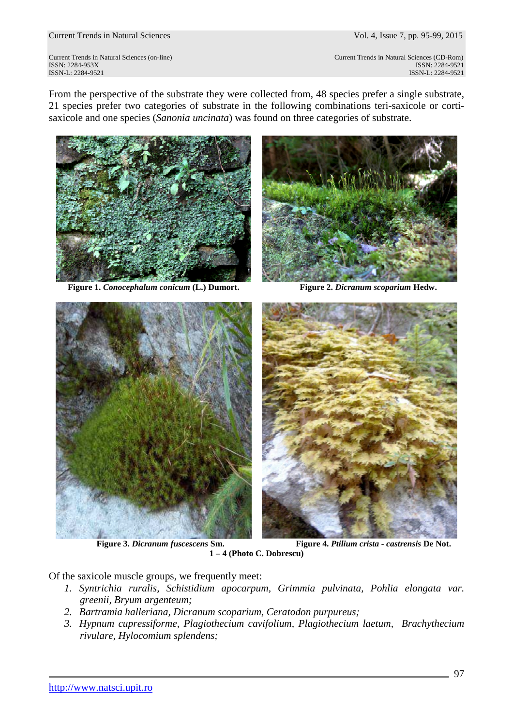Current Trends in Natural Sciences Vol. 4, Issue 7, pp. 95-99, 2015

ISSN: 2284-953XISSN: 2284-9521

Current Trends in Natural Sciences (on-line) Current Trends in Natural Sciences (CD-Rom) ISSN-L: 2284-9521 ISSN-L: 2284-9521

From the perspective of the substrate they were collected from, 48 species prefer a single substrate, 21 species prefer two categories of substrate in the following combinations teri-saxicole or cortisaxicole and one species (*Sanonia uncinata*) was found on three categories of substrate.



**Figure 1.** *Conocephalum conicum* **(L.) Dumort. Figure 2.** *Dicranum scoparium* **Hedw.** 







**1 – 4 (Photo C. Dobrescu)** 

Of the saxicole muscle groups, we frequently meet:

- *1. Syntrichia ruralis, Schistidium apocarpum, Grimmia pulvinata, Pohlia elongata var. greenii, Bryum argenteum;*
- *2. Bartramia halleriana, Dicranum scoparium, Ceratodon purpureus;*
- *3. Hypnum cupressiforme, Plagiothecium cavifolium, Plagiothecium laetum, Brachythecium rivulare, Hylocomium splendens;*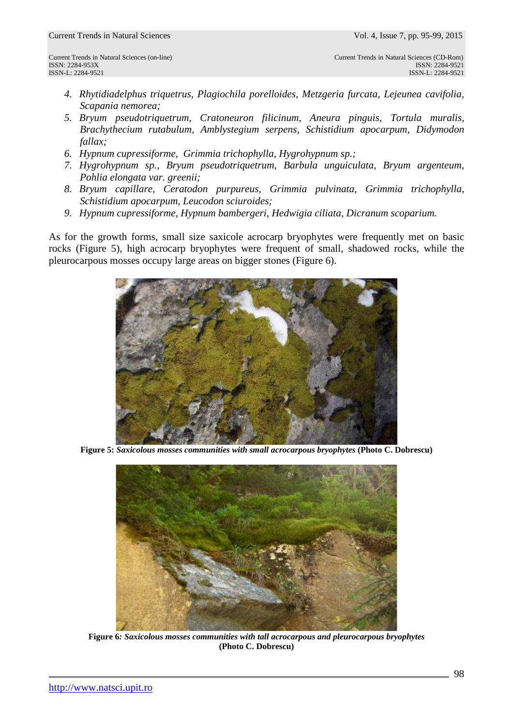- *4. Rhytidiadelphus triquetrus, Plagiochila porelloides, Metzgeria furcata, Lejeunea cavifolia, Scapania nemorea;*
- *5. Bryum pseudotriquetrum, Cratoneuron filicinum, Aneura pinguis, Tortula muralis, Brachythecium rutabulum, Amblystegium serpens, Schistidium apocarpum, Didymodon fallax;*
- *6. Hypnum cupressiforme, Grimmia trichophylla, Hygrohypnum sp.;*
- *7. Hygrohypnum sp., Bryum pseudotriquetrum, Barbula unguiculata, Bryum argenteum, Pohlia elongata var. greenii;*
- *8. Bryum capillare, Ceratodon purpureus, Grimmia pulvinata, Grimmia trichophylla, Schistidium apocarpum, Leucodon sciuroides;*
- *9. Hypnum cupressiforme, Hypnum bambergeri, Hedwigia ciliata, Dicranum scoparium.*

As for the growth forms, small size saxicole acrocarp bryophytes were frequently met on basic rocks (Figure 5), high acrocarp bryophytes were frequent of small, shadowed rocks, while the pleurocarpous mosses occupy large areas on bigger stones (Figure 6).



**Figure 5:** *Saxicolous mosses communities with small acrocarpous bryophytes* **(Photo C. Dobrescu)** 



**Figure 6***: Saxicolous mosses communities with tall acrocarpous and pleurocarpous bryophytes*  **(Photo C. Dobrescu)**